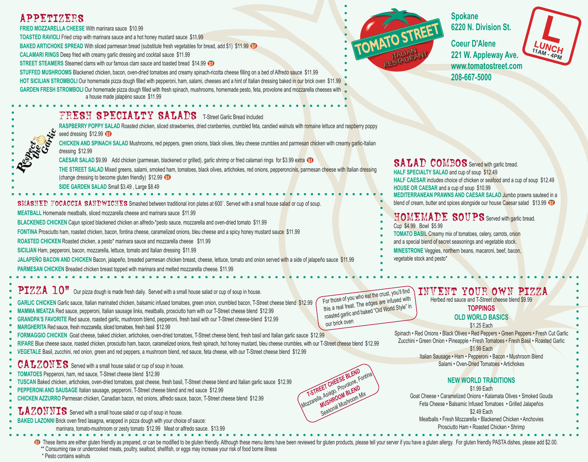## APPETIZERS

**FRIED MOZZARELLA CHEESE** With marinara sauce \$10.99

seed dressing \$12.99

dressing \$12.99

**TOASTED RAVIOLI** Fried crisp with marinara sauce and a hot honey mustard sauce \$11.99

**BAKED ARTICHOKE SPREAD** With sliced parmesan bread (substitute fresh vegetables for bread, add \$1) \$11.99 **(ii)** 

**CALAMARI RINGS** Deep fried with creamy garlic dressing and cocktail sauce \$11.99

**STREET STEAMERS** Steamed clams with our famous clam sauce and toasted bread \$14.99

(change dressing to become gluten friendly) \$12.99 **(1) SIDE GARDEN SALAD** Small \$3.49 , Large \$8.49

**MEATBALL** Homemade meatballs, sliced mozzarella cheese and marinara sauce \$11.99

**SICILIAN** Ham, pepperoni, bacon, mozzarella, lettuce, tomato and Italian dressing \$11.99

**ROASTED CHICKEN** Roasted chicken, a pesto\* marinara sauce and mozzarella cheese \$11.99

**PARMESAN CHICKEN** Breaded chicken breast topped with marinara and melted mozzarella cheese. \$11.99

**STUFFED MUSHROOMS** Blackened chicken, bacon, oven-dried tomatoes and creamy spinach-ricotta cheese filling on a bed of Alfredo sauce \$11.99 **HOT SICILIAN STROMBOLI** Our homemade pizza dough filled with pepperoni, ham, salami, cheeses and a hint of Italian dressing baked in our brick oven \$11.99 GARDEN FRESH STROMBOLI Our homemade pizza dough filled with fresh spinach, mushrooms, homemade pesto, feta, provolone and mozzarella cheeses with a house made jalapéno sauce \$11.99

CAESAR SALAD \$9.99 Add chicken (parmesan, blackened or grilled), garlic shrimp or fried calamari rings for \$3.99 extra **OD** 

JALAPEÑO BACON AND CHICKEN Bacon, jalapeño, breaded parmesan chicken breast, cheese, lettuce, tomato and onion served with a side of jalapeño sauce \$11.99

SMASHED FOCACCIA SANDWICHES Smashed between traditional iron plates at 600°. Served with a small house salad or cup of soup.

**FONTINA** Prosciutto ham, roasted chicken, bacon, fontina cheese, caramelized onions, bleu cheese and a spicy honey mustard sauce \$11.99

**RASPBERRY POPPY SALAD** Roasted chicken, sliced strawberries, dried cranberries, crumbled feta, candied walnuts with romaine lettuce and raspberry poppy

CHICKEN AND SPINACH SALAD Mushrooms, red peppers, green onions, black olives, bleu cheese crumbles and parmesan chicken with creamy garlic-Italian

FRESH SPECIALTY SALADS T-Street Garlic Bread Included



**Spokane 6220 N. Division St.**

**208-667-5000**

**Coeur D'Alene TTAM-4PM 221 W. Appleway Ave. www.tomatostreet.com**

THE STREET SALAD Mixed greens, salami, smoked ham, tomatoes, black olives, artichokes, red onions, pepperoncinis, parmesan cheese with Italian dressing SALAD COMBOS Served with garlic bread. **HALF SPECIALTY SALAD** and cup of soup \$12.49 **HALF CAESAR** includes choice of chicken or seafood and a cup of soup \$12.49 **HOUSE OR CAESAR** and a cup of soup \$10.99 **MEDITERRANEAN PRAWNS AND CAESAR SALAD** Jumbo prawns sauteed in a blend of cream, butter and spices alongside our house Caesar salad \$13.99 **T** 

### HOMEMADE SOUPS Served with garlic bread. Cup \$4.99 Bowl \$5.99

**TOMATO BASIL** Creamy mix of tomatoes, celery, carrots, onion

- and a special blend of secret seasonings and vegetable stock.
- **MINESTRONE** Veggies, northern beans, macaroni, beef, bacon,
- vegetable stock and pesto\*

PIZZA 10" Our pizza dough is made fresh daily. Served with a small house salad or cup of soup in house.

**BLACKENED CHICKEN** Cajun spiced blackened chicken an alfredo-\*pesto sauce, mozzarella and oven-dried tomato \$11.99

**GARLIC CHICKEN** Garlic sauce, Italian marinated chicken, balsamic infused tomatoes, green onion, crumbled bacon, T-Street cheese blend \$12.99

- **MAMMA MEATZA** Red sauce, pepperoni, Italian sausage links, meatballs, prosciutto ham with our T-Street cheese blend \$12.99
- **GRANDPA'S FAVORITE** Red sauce, roasted garlic, mushroom blend, pepperoni, fresh basil with our T-Street cheese-blend \$12.99
- **MARGHERITA** Red sauce, fresh mozzarella, sliced tomatoes, fresh basil \$12.99
- **FORMAGGIO CHICKEN** Goat cheese, baked chicken, artichokes, oven-dried tomatoes, T-Street cheese blend, fresh basil and Italian garlic sauce \$12.99
- **RIFARE** Blue cheese sauce, roasted chicken, prosciutto ham, bacon, caramelized onions, fresh spinach, hot honey mustard, bleu cheese crumbles, with our T-Street cheese blend \$12.99
- **VEGETALE** Basil, zucchini, red onion, green and red peppers, a mushroom blend, red sauce, feta cheese, with our T-Street cheese blend \$12.99

## CALZONES Served with a small house salad or cup of soup in house.

- **TOMATOES** Pepperoni, ham, red sauce, T-Street cheese blend \$12.99
- **TUSCAN** Baked chicken, artichokes, oven-dried tomatoes, goat cheese, fresh basil, T-Street cheese blend and Italian garlic sauce \$12.99
- **PEPPERONI AND SAUSAGE** Italian sausage, pepperoni, T-Street cheese blend and red sauce \$12.99
- **CHICKEN AZZURRO** Parmesan chicken, Canadian bacon, red onions, alfredo sauce, bacon, T-Street cheese blend \$12.99

LAZONNIS Served with a small house salad or cup of soup in house.

- **BAKED LAZONNI Brick oven fired lasagna, wrapped in pizza dough with your choice of sauce:** 
	- marinara, tomato-mushroom or zesty tomato \$12.99 Meat or alfredo sauce. \$13.99

For those of you who eat the crust, you'll find this a real treat. The edges are infused with roasted garlic and baked "Old World Style" in our brick oven

**T-STREET CHEESE BLEND**<br>T-STREET CHEESE BLEND<br>DZZarella, Asiago, Provolone, Fonti<br>Coasonal Mushroom Mix **MOZZARIELA CHEESE BLEND FONTING**<br>**MOZZARIA, Asiago, Provolone, Fontina**<br>MOZZARIA, ASIAGO OM BLEND MIX

**A. Asiayoom BLCom Mix<br>MUSHROOM BLCom Mix**<br>Seasonal Mushroom Mix

# INVENT YOUR OWN PIZZA

Herbed red sauce and T-Street cheese blend \$9.99

## **TOPPINGS**

#### **OLD WORLD BASICS** \$1.25 Each

Spinach • Red Onions • Black Olives • Red Peppers • Green Peppers • Fresh Cut Garlic Zucchini • Green Onion • Pineapple • Fresh Tomatoes • Fresh Basil • Roasted Garlic \$1.99 Each

Italian Sausage • Ham • Pepperoni • Bacon • Mushroom Blend Salami • Oven-Dried Tomatoes • Artichokes

## **NEW WORLD TRADITIONS**

\$1.99 Fach Goat Cheese • Caramelized Onions • Kalamata Olives • Smoked Gouda Feta Cheese • Balsamic Infused Tomatoes • Grilled Jalapeños \$2.49 Each Meatballs • Fresh Mozzarella • Blackened Chicken • Anchovies Prosciutto Ham • Roasted Chicken • Shrimp

These items are either gluten friendly as prepared, or can be modified to be gluten friendly. Although these menu items have been reviewed for gluten products, please tell your server if you have a gluten allergy. For glut \*\* Consuming raw or undercooked meats, poultry, seafood, shellfish, or eggs may increase your risk of food borne illness \* Pesto contains walnuts